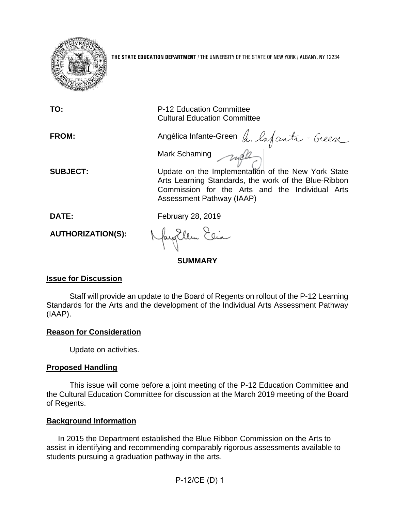

**THE STATE EDUCATION DEPARTMENT** / THE UNIVERSITY OF THE STATE OF NEW YORK / ALBANY, NY 12234

| TO:                         | P-12 Education Committee<br><b>Cultural Education Committee</b>                                                                                                                                                  |
|-----------------------------|------------------------------------------------------------------------------------------------------------------------------------------------------------------------------------------------------------------|
| <b>FROM:</b>                | Angélica Infante-Green a. lufante-Green                                                                                                                                                                          |
| <b>SUBJECT:</b>             | Mark Schaming mall<br>Update on the Implementation of the New York State<br>Arts Learning Standards, the work of the Blue-Ribbon<br>Commission for the Arts and the Individual Arts<br>Assessment Pathway (IAAP) |
| DATE:                       | February 28, 2019                                                                                                                                                                                                |
| <b>AUTHORIZATION(S):</b>    | Nayollem Elia                                                                                                                                                                                                    |
| <b>SUMMARY</b>              |                                                                                                                                                                                                                  |
| <b>Issue for Discussion</b> |                                                                                                                                                                                                                  |

Staff will provide an update to the Board of Regents on rollout of the P-12 Learning Standards for the Arts and the development of the Individual Arts Assessment Pathway (IAAP).

# **Reason for Consideration**

Update on activities.

# **Proposed Handling**

This issue will come before a joint meeting of the P-12 Education Committee and the Cultural Education Committee for discussion at the March 2019 meeting of the Board of Regents.

# **Background Information**

In 2015 the Department established the Blue Ribbon Commission on the Arts to assist in identifying and recommending comparably rigorous assessments available to students pursuing a graduation pathway in the arts.

P-12/CE (D) 1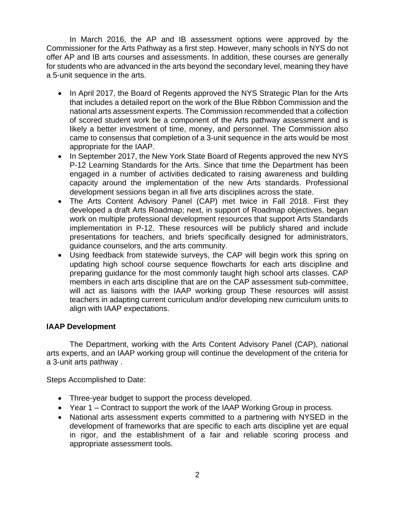In March 2016, the AP and IB assessment options were approved by the Commissioner for the Arts Pathway as a first step. However, many schools in NYS do not offer AP and IB arts courses and assessments. In addition, these courses are generally for students who are advanced in the arts beyond the secondary level, meaning they have a 5-unit sequence in the arts.

- In April 2017, the Board of Regents approved the NYS Strategic Plan for the Arts that includes a detailed report on the work of the Blue Ribbon Commission and the national arts assessment experts. The Commission recommended that a collection of scored student work be a component of the Arts pathway assessment and is likely a better investment of time, money, and personnel. The Commission also came to consensus that completion of a 3-unit sequence in the arts would be most appropriate for the IAAP.
- In September 2017, the New York State Board of Regents approved the new NYS P-12 Learning Standards for the Arts. Since that time the Department has been engaged in a number of activities dedicated to raising awareness and building capacity around the implementation of the new Arts standards. Professional development sessions began in all five arts disciplines across the state.
- The Arts Content Advisory Panel (CAP) met twice in Fall 2018. First they developed a draft Arts Roadmap; next, in support of Roadmap objectives, began work on multiple professional development resources that support Arts Standards implementation in P-12. These resources will be publicly shared and include presentations for teachers, and briefs specifically designed for administrators, guidance counselors, and the arts community.
- Using feedback from statewide surveys, the CAP will begin work this spring on updating high school course sequence flowcharts for each arts discipline and preparing guidance for the most commonly taught high school arts classes. CAP members in each arts discipline that are on the CAP assessment sub-committee, will act as liaisons with the IAAP working group These resources will assist teachers in adapting current curriculum and/or developing new curriculum units to align with IAAP expectations.

# **IAAP Development**

The Department, working with the Arts Content Advisory Panel (CAP), national arts experts, and an IAAP working group will continue the development of the criteria for a 3-unit arts pathway .

Steps Accomplished to Date:

- Three-year budget to support the process developed.
- Year 1 Contract to support the work of the IAAP Working Group in process.
- National arts assessment experts committed to a partnering with NYSED in the development of frameworks that are specific to each arts discipline yet are equal in rigor, and the establishment of a fair and reliable scoring process and appropriate assessment tools.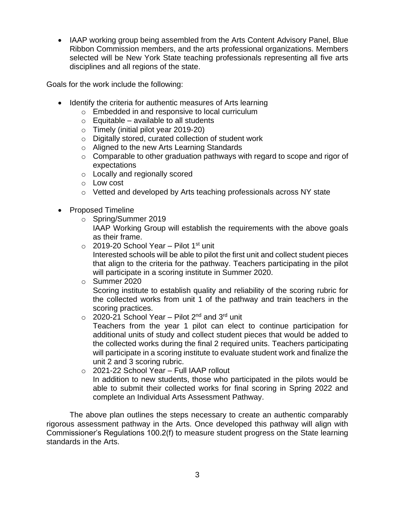• IAAP working group being assembled from the Arts Content Advisory Panel, Blue Ribbon Commission members, and the arts professional organizations. Members selected will be New York State teaching professionals representing all five arts disciplines and all regions of the state.

Goals for the work include the following:

- Identify the criteria for authentic measures of Arts learning
	- o Embedded in and responsive to local curriculum
	- $\circ$  Equitable available to all students
	- o Timely (initial pilot year 2019-20)
	- o Digitally stored, curated collection of student work
	- o Aligned to the new Arts Learning Standards
	- o Comparable to other graduation pathways with regard to scope and rigor of expectations
	- o Locally and regionally scored
	- o Low cost
	- o Vetted and developed by Arts teaching professionals across NY state
- Proposed Timeline
	- o Spring/Summer 2019

IAAP Working Group will establish the requirements with the above goals as their frame.

 $\circ$  2019-20 School Year – Pilot 1<sup>st</sup> unit

Interested schools will be able to pilot the first unit and collect student pieces that align to the criteria for the pathway. Teachers participating in the pilot will participate in a scoring institute in Summer 2020.

- o Summer 2020 Scoring institute to establish quality and reliability of the scoring rubric for the collected works from unit 1 of the pathway and train teachers in the scoring practices.
	- $\circ$  2020-21 School Year Pilot 2<sup>nd</sup> and 3<sup>rd</sup> unit

Teachers from the year 1 pilot can elect to continue participation for additional units of study and collect student pieces that would be added to the collected works during the final 2 required units. Teachers participating will participate in a scoring institute to evaluate student work and finalize the unit 2 and 3 scoring rubric.

o 2021-22 School Year – Full IAAP rollout In addition to new students, those who participated in the pilots would be able to submit their collected works for final scoring in Spring 2022 and complete an Individual Arts Assessment Pathway.

The above plan outlines the steps necessary to create an authentic comparably rigorous assessment pathway in the Arts. Once developed this pathway will align with Commissioner's Regulations 100.2(f) to measure student progress on the State learning standards in the Arts.